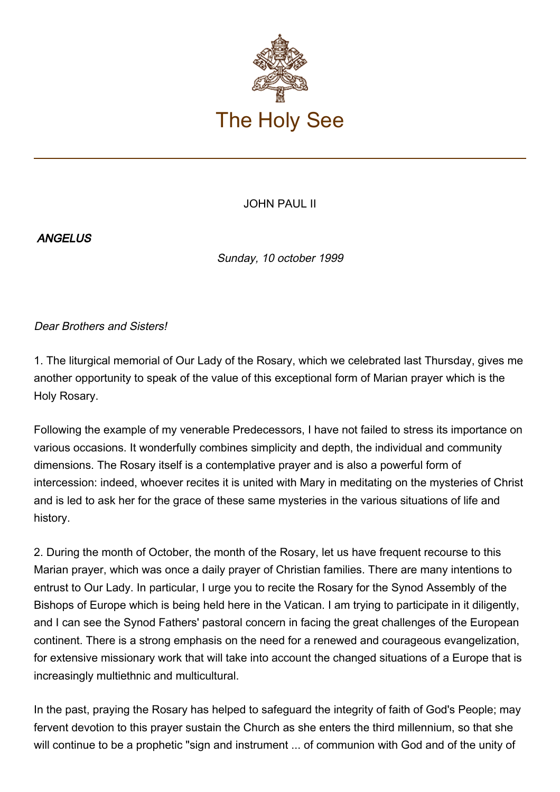

## JOHN PAUL II

## **ANGELUS**

Sunday, 10 october 1999

Dear Brothers and Sisters!

1. The liturgical memorial of Our Lady of the Rosary, which we celebrated last Thursday, gives me another opportunity to speak of the value of this exceptional form of Marian prayer which is the Holy Rosary.

Following the example of my venerable Predecessors, I have not failed to stress its importance on various occasions. It wonderfully combines simplicity and depth, the individual and community dimensions. The Rosary itself is a contemplative prayer and is also a powerful form of intercession: indeed, whoever recites it is united with Mary in meditating on the mysteries of Christ and is led to ask her for the grace of these same mysteries in the various situations of life and history.

2. During the month of October, the month of the Rosary, let us have frequent recourse to this Marian prayer, which was once a daily prayer of Christian families. There are many intentions to entrust to Our Lady. In particular, I urge you to recite the Rosary for the Synod Assembly of the Bishops of Europe which is being held here in the Vatican. I am trying to participate in it diligently, and I can see the Synod Fathers' pastoral concern in facing the great challenges of the European continent. There is a strong emphasis on the need for a renewed and courageous evangelization, for extensive missionary work that will take into account the changed situations of a Europe that is increasingly multiethnic and multicultural.

In the past, praying the Rosary has helped to safeguard the integrity of faith of God's People; may fervent devotion to this prayer sustain the Church as she enters the third millennium, so that she will continue to be a prophetic "sign and instrument ... of communion with God and of the unity of